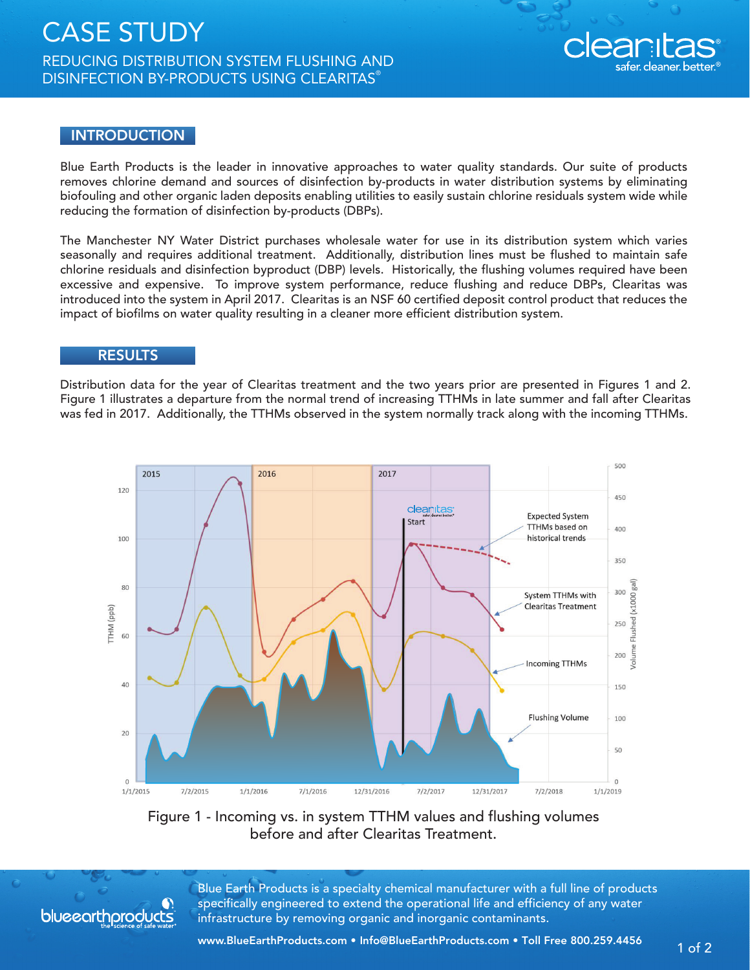## CASE STUDY REDUCING DISTRIBUTION SYSTEM FLUSHING AND DISINFECTION BY-PRODUCTS USING CLEARITAS®



## **INTRODUCTION**

Blue Earth Products is the leader in innovative approaches to water quality standards. Our suite of products removes chlorine demand and sources of disinfection by-products in water distribution systems by eliminating biofouling and other organic laden deposits enabling utilities to easily sustain chlorine residuals system wide while reducing the formation of disinfection by-products (DBPs).

The Manchester NY Water District purchases wholesale water for use in its distribution system which varies seasonally and requires additional treatment. Additionally, distribution lines must be flushed to maintain safe chlorine residuals and disinfection byproduct (DBP) levels. Historically, the flushing volumes required have been excessive and expensive. To improve system performance, reduce flushing and reduce DBPs, Clearitas was introduced into the system in April 2017. Clearitas is an NSF 60 certified deposit control product that reduces the impact of biofilms on water quality resulting in a cleaner more efficient distribution system.

## RESULTS

Distribution data for the year of Clearitas treatment and the two years prior are presented in Figures 1 and 2. Figure 1 illustrates a departure from the normal trend of increasing TTHMs in late summer and fall after Clearitas was fed in 2017. Additionally, the TTHMs observed in the system normally track along with the incoming TTHMs.



Figure 1 - Incoming vs. in system TTHM values and flushing volumes before and after Clearitas Treatment.



Blue Earth Products is a specialty chemical manufacturer with a full line of products specifically engineered to extend the operational life and efficiency of any water infrastructure by removing organic and inorganic contaminants.